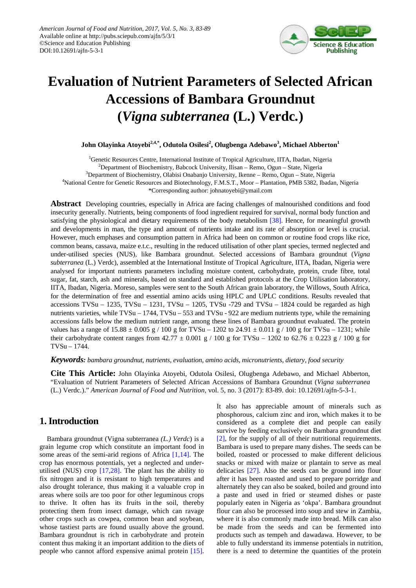

# **Evaluation of Nutrient Parameters of Selected African Accessions of Bambara Groundnut (***Vigna subterranea* **(L.) Verdc***.***)**

 $\boldsymbol{\mathrm{John}}$  Olayinka Atoyebi $^{2,4,*}$ , Odutola Osilesi $^2$ , Olugbenga Adebawo $^3$ , Michael Abberton $^1$ 

<sup>1</sup>Genetic Resources Centre, International Institute of Tropical Agriculture, IITA, Ibadan, Nigeria <sup>2</sup>Department of Biochemistry, Babcock University, Ilisan – Remo, Ogun – State, Nigeria

<sup>3</sup>Department of Biochemistry, Olabisi Onabanjo University, Ikenne – Remo, Ogun – State, Nigeria

4 National Centre for Genetic Resources and Biotechnology, F.M.S.T., Moor – Plantation, PMB 5382, Ibadan, Nigeria

\*Corresponding author: johnatoyebi@ymail.com

**Abstract** Developing countries, especially in Africa are facing challenges of malnourished conditions and food insecurity generally. Nutrients, being components of food ingredient required for survival, normal body function and satisfying the physiological and dietary requirements of the body metabolism [\[38\].](#page-6-0) Hence, for meaningful growth and developments in man, the type and amount of nutrients intake and its rate of absorption or level is crucial. However, much emphases and consumption pattern in Africa had been on common or routine food crops like rice, common beans, cassava, maize e.t.c., resulting in the reduced utilisation of other plant species, termed neglected and under-utilised species (NUS), like Bambara groundnut. Selected accessions of Bambara groundnut (*Vigna subterranea* (L.) Verdc), assembled at the International Institute of Tropical Agriculture, IITA, Ibadan, Nigeria were analysed for important nutrients parameters including moisture content, carbohydrate, protein, crude fibre, total sugar, fat, starch, ash and minerals, based on standard and established protocols at the Crop Utilisation laboratory, IITA, Ibadan, Nigeria. Moreso, samples were sent to the South African grain laboratory, the Willows, South Africa, for the determination of free and essential amino acids using HPLC and UPLC conditions. Results revealed that accessions  $TVSu - 1235$ ,  $TVSu - 1231$ ,  $TVSu - 1205$ ,  $TVSu - 729$  and  $TVSu - 1824$  could be regarded as high nutrients varieties, while TVSu – 1744, TVSu – 553 and TVSu - 922 are medium nutrients type, while the remaining accessions falls below the medium nutrient range, among these lines of Bambara groundnut evaluated. The protein values has a range of  $15.88 \pm 0.005$  g / 100 g for TVSu – 1202 to 24.91  $\pm$  0.011 g / 100 g for TVSu – 1231; while their carbohydrate content ranges from  $42.77 \pm 0.001$  g / 100 g for TVSu – 1202 to  $62.76 \pm 0.223$  g / 100 g for TVSu – 1744.

*Keywords: bambara groundnut, nutrients, evaluation, amino acids, micronutrients, dietary, food security*

**Cite This Article:** John Olayinka Atoyebi, Odutola Osilesi, Olugbenga Adebawo, and Michael Abberton, "Evaluation of Nutrient Parameters of Selected African Accessions of Bambara Groundnut (*Vigna subterranea*  (L.) Verdc*.*)." *American Journal of Food and Nutrition*, vol. 5, no. 3 (2017): 83-89. doi: 10.12691/ajfn-5-3-1.

# **1. Introduction**

Bambara groundnut (Vigna subterranea *(L.) Verdc*) is a grain legume crop which constitute an important food in some areas of the semi-arid regions of Africa [\[1,14\].](#page-5-0) The crop has enormous potentials, yet a neglected and underutilised (NUS) crop [\[17,28\].](#page-6-1) The plant has the ability to fix nitrogen and it is resistant to high temperatures and also drought tolerance, thus making it a valuable crop in areas where soils are too poor for other leguminous crops to thrive. It often has its fruits in the soil, thereby protecting them from insect damage, which can ravage other crops such as cowpea, common bean and soybean, whose tastiest parts are found usually above the ground. Bambara groundnut is rich in carbohydrate and protein content thus making it an important addition to the diets of people who cannot afford expensive animal protein [\[15\].](#page-6-2) It also has appreciable amount of minerals such as phosphorous, calcium zinc and iron, which makes it to be considered as a complete diet and people can easily survive by feeding exclusively on Bambara groundnut diet [\[2\],](#page-5-1) for the supply of all of their nutritional requirements. Bambara is used to prepare many dishes. The seeds can be boiled, roasted or processed to make different delicious snacks or mixed with maize or plantain to serve as meal delicacies [\[27\].](#page-6-3) Also the seeds can be ground into flour after it has been roasted and used to prepare porridge and alternately they can also be soaked, boiled and ground into a paste and used in fried or steamed dishes or paste popularly eaten in Nigeria as 'okpa'. Bambara groundnut flour can also be processed into soup and stew in Zambia, where it is also commonly made into bread. Milk can also be made from the seeds and can be fermented into products such as tempeh and dawadawa. However, to be able to fully understand its immense potentials in nutrition, there is a need to determine the quantities of the protein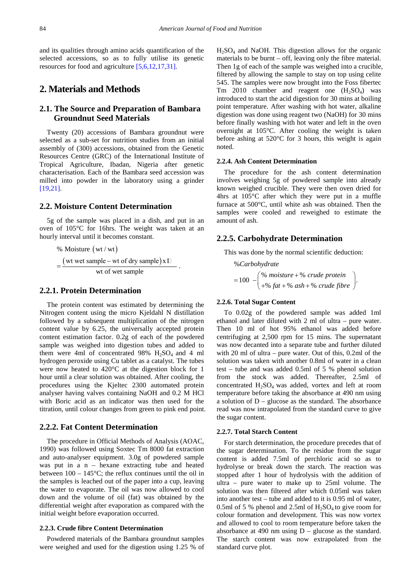and its qualities through amino acids quantification of the selected accessions, so as to fully utilise its genetic resources for food and agricultur[e \[5,6,12,17,31\].](#page-5-2)

# **2. Materials and Methods**

# **2.1. The Source and Preparation of Bambara Groundnut Seed Materials**

Twenty (20) accessions of Bambara groundnut were selected as a sub-set for nutrition studies from an initial assembly of (300) accessions, obtained from the Genetic Resources Centre (GRC) of the International Institute of Tropical Agriculture, Ibadan, Nigeria after genetic characterisation. Each of the Bambara seed accession was milled into powder in the laboratory using a grinder [\[19,21\].](#page-6-4)

## **2.2. Moisture Content Determination**

5g of the sample was placed in a dish, and put in an oven of 105°C for 16hrs. The weight was taken at an hourly interval until it becomes constant.

% Moisture (wt/ wt)  
= 
$$
\frac{(wt wet sample - wt of dry sample)x \Box}{wt of wet sample}.
$$

## **2.2.1. Protein Determination**

The protein content was estimated by determining the Nitrogen content using the micro Kjeldahl N distillation followed by a subsequent multiplication of the nitrogen content value by 6.25, the universally accepted protein content estimation factor. 0.2g of each of the powdered sample was weighed into digestion tubes and added to them were 4ml of concentrated 98%  $H<sub>2</sub>SO<sub>4</sub>$  and 4 ml hydrogen peroxide using Cu tablet as a catalyst. The tubes were now heated to 420°C at the digestion block for 1 hour until a clear solution was obtained. After cooling, the procedures using the Kjeltec 2300 automated protein analyser having valves containing NaOH and 0.2 M HCl with Boric acid as an indicator was then used for the titration, until colour changes from green to pink end point.

## **2.2.2. Fat Content Determination**

The procedure in Official Methods of Analysis (AOAC, 1990) was followed using Soxtec Tm 8000 fat extraction and auto-analyser equipment. 3.0g of powdered sample was put in  $a_n$  – hexane extracting tube and heated between  $100 - 145^{\circ}\text{C}$ ; the reflux continues until the oil in the samples is leached out of the paper into a cup, leaving the water to evaporate. The oil was now allowed to cool down and the volume of oil (fat) was obtained by the differential weight after evaporation as compared with the initial weight before evaporation occurred.

#### **2.2.3. Crude fibre Content Determination**

Powdered materials of the Bambara groundnut samples were weighed and used for the digestion using 1.25 % of  $H<sub>2</sub>SO<sub>4</sub>$  and NaOH. This digestion allows for the organic materials to be burnt – off, leaving only the fibre material. Then 1g of each of the sample was weighed into a crucible, filtered by allowing the sample to stay on top using celite 545. The samples were now brought into the Foss fibertec Tm 2010 chamber and reagent one  $(H_2SO_4)$  was introduced to start the acid digestion for 30 mins at boiling point temperature. After washing with hot water, alkaline digestion was done using reagent two (NaOH) for 30 mins before finally washing with hot water and left in the oven overnight at 105°C. After cooling the weight is taken before ashing at 520°C for 3 hours, this weight is again noted.

#### **2.2.4. Ash Content Determination**

The procedure for the ash content determination involves weighing 5g of powdered sample into already known weighed crucible. They were then oven dried for 4hrs at 105°C after which they were put in a muffle furnace at 500°C, until white ash was obtained. Then the samples were cooled and reweighed to estimate the amount of ash.

## **2.2.5. Carbohydrate Determination**

This was done by the normal scientific deduction:

% *Carbohydrate* 100  $-\begin{pmatrix} \% & \text{moisture} + \% & \text{crude protein} \\ +\% & \text{fat} + \% & \text{ash} + \% & \text{crude fibre} \end{pmatrix}$ .  $moisture + %$  crude protein  $f=100 - \begin{pmatrix} \% & \text{moisture} + \% & \text{crude protein} \\ +\% & \text{fat} + \% & \text{ash} + \% & \text{crude fibre} \end{pmatrix}$ 

## **2.2.6. Total Sugar Content**

To 0.02g of the powdered sample was added 1ml ethanol and later diluted with 2 ml of ultra – pure water. Then 10 ml of hot 95% ethanol was added before centrifuging at 2,500 rpm for 15 mins. The supernatant was now decanted into a separate tube and further diluted with 20 ml of ultra – pure water. Out of this, 0.2ml of the solution was taken with another 0.8ml of water in a clean test – tube and was added 0.5ml of 5 % phenol solution from the stock was added. Thereafter, 2.5ml of concentrated H<sub>2</sub>SO<sub>4</sub> was added, vortex and left at room temperature before taking the absorbance at 490 nm using a solution of  $D$  – glucose as the standard. The absorbance read was now intrapolated from the standard curve to give the sugar content.

#### **2.2.7. Total Starch Content**

For starch determination, the procedure precedes that of the sugar determination. To the residue from the sugar content is added 7.5ml of perchloric acid so as to hydrolyse or break down the starch. The reaction was stopped after 1 hour of hydrolysis with the addition of ultra – pure water to make up to 25ml volume. The solution was then filtered after which 0.05ml was taken into another test – tube and added to it is 0.95 ml of water, 0.5ml of 5 % phenol and 2.5ml of  $H_2SO_4$  to give room for colour formation and development. This was now vortex and allowed to cool to room temperature before taken the absorbance at 490 nm using  $D -$  glucose as the standard. The starch content was now extrapolated from the standard curve plot.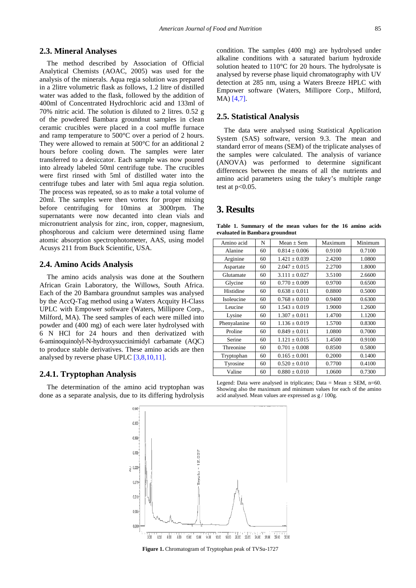## **2.3. Mineral Analyses**

The method described by Association of Official Analytical Chemists (AOAC, 2005) was used for the analysis of the minerals. Aqua regia solution was prepared in a 2litre volumetric flask as follows, 1.2 litre of distilled water was added to the flask, followed by the addition of 400ml of Concentrated Hydrochloric acid and 133ml of 70% nitric acid. The solution is diluted to 2 litres. 0.52 g of the powdered Bambara groundnut samples in clean ceramic crucibles were placed in a cool muffle furnace and ramp temperature to 500°C over a period of 2 hours. They were allowed to remain at 500°C for an additional 2 hours before cooling down. The samples were later transferred to a desiccator. Each sample was now poured into already labeled 50ml centrifuge tube. The crucibles were first rinsed with 5ml of distilled water into the centrifuge tubes and later with 5ml aqua regia solution. The process was repeated, so as to make a total volume of 20ml. The samples were then vortex for proper mixing before centrifuging for 10mins at 3000rpm. The supernatants were now decanted into clean vials and micronutrient analysis for zinc, iron, copper, magnesium, phosphorous and calcium were determined using flame atomic absorption spectrophotometer, AAS, using model Acusys 211 from Buck Scientific, USA.

## **2.4. Amino Acids Analysis**

The amino acids analysis was done at the Southern African Grain Laboratory, the Willows, South Africa. Each of the 20 Bambara groundnut samples was analysed by the AccQ-Tag method using a Waters Acquity H-Class UPLC with Empower software (Waters, Millipore Corp., Milford, MA). The seed samples of each were milled into powder and (400 mg) of each were later hydrolysed with 6 N HCl for 24 hours and then derivatized with 6-aminoquinolyl-N-hydroxysuccinimidyl carbamate (AQC) to produce stable derivatives. These amino acids are then analysed by reverse phase UPLC [\[3,8,10,11\].](#page-5-3)

## **2.4.1. Tryptophan Analysis**

The determination of the amino acid tryptophan was done as a separate analysis, due to its differing hydrolysis condition. The samples (400 mg) are hydrolysed under alkaline conditions with a saturated barium hydroxide solution heated to 110°C for 20 hours. The hydrolysate is analysed by reverse phase liquid chromatography with UV detection at 285 nm, using a Waters Breeze HPLC with Empower software (Waters, Millipore Corp., Milford, MA) [\[4,7\].](#page-5-4)

#### **2.5. Statistical Analysis**

The data were analysed using Statistical Application System (SAS) software, version 9.3. The mean and standard error of means (SEM) of the triplicate analyses of the samples were calculated. The analysis of variance (ANOVA) was performed to determine significant differences between the means of all the nutrients and amino acid parameters using the tukey's multiple range test at p<0.05.

# **3. Results**

**Table 1. Summary of the mean values for the 16 amino acids evaluated in Bambara groundnut**

<span id="page-2-0"></span>

| Amino acid   | N  | $Mean + Sem$      | Maximum | Minimum |  |
|--------------|----|-------------------|---------|---------|--|
| Alanine      | 60 | $0.814 \pm 0.006$ | 0.9100  | 0.7100  |  |
| Arginine     | 60 | $1.421 \pm 0.039$ | 2.4200  | 1.0800  |  |
| Aspartate    | 60 | $2.047 \pm 0.015$ | 2.2700  | 1.8000  |  |
| Glutamate    | 60 | $3.111 \pm 0.027$ | 3.5100  | 2.6600  |  |
| Glycine      | 60 | $0.770 \pm 0.009$ | 0.9700  | 0.6500  |  |
| Histidine    | 60 | $0.638 \pm 0.011$ | 0.8800  | 0.5000  |  |
| Isoleucine   | 60 | $0.768 \pm 0.010$ | 0.9400  | 0.6300  |  |
| Leucine      | 60 | $1.543 \pm 0.019$ | 1.9000  | 1.2600  |  |
| Lysine       | 60 | $1.307 \pm 0.011$ | 1.4700  | 1.1200  |  |
| Phenyalanine | 60 | $1.136 \pm 0.019$ | 1.5700  | 0.8300  |  |
| Proline      | 60 | $0.849 \pm 0.011$ | 1.0800  | 0.7000  |  |
| Serine       | 60 | $1.121 \pm 0.015$ | 1.4500  | 0.9100  |  |
| Threonine    | 60 | $0.701 \pm 0.008$ | 0.8500  | 0.5800  |  |
| Tryptophan   | 60 | $0.165 \pm 0.001$ | 0.2000  | 0.1400  |  |
| Tyrosine     | 60 | $0.520 \pm 0.010$ | 0.7700  | 0.4100  |  |
| Valine       | 60 | $0.880 \pm 0.010$ | 1.0600  | 0.7300  |  |

Legend: Data were analysed in triplicates; Data = Mean  $\pm$  SEM, n=60. Showing also the maximum and minimum values for each of the amino acid analysed. Mean values are expressed as g / 100g.



**Figure 1.** Chromatogram of Tryptophan peak of TVSu-1727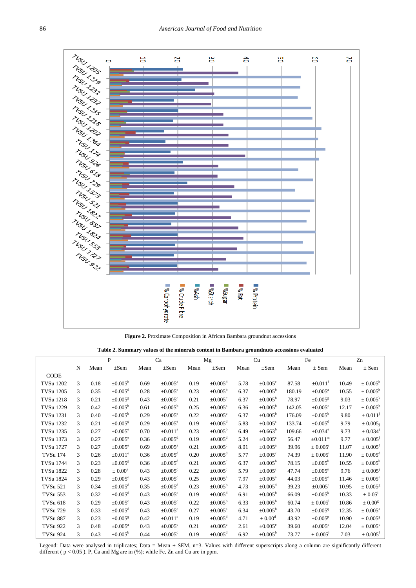

**Figure 2.** Proximate Composition in African Bambara groundnut accessions

|  |  | Table 2. Summary values of the minerals content in Bambara groundnuts accessions evaluated |
|--|--|--------------------------------------------------------------------------------------------|
|  |  |                                                                                            |

<span id="page-3-0"></span>

|                  |   |      | $\mathbf{P}$             |      | Ca                       |      | Mg                       |      | Cu                       |        | Fe                       |       | Zn                       |
|------------------|---|------|--------------------------|------|--------------------------|------|--------------------------|------|--------------------------|--------|--------------------------|-------|--------------------------|
|                  | N | Mean | $\pm$ Sem                | Mean | $\pm$ Sem                | Mean | $\pm$ Sem                | Mean | $\pm$ Sem                | Mean   | $\pm$ Sem                | Mean  | $\pm$ Sem                |
| CODE             |   |      |                          |      |                          |      |                          |      |                          |        |                          |       |                          |
| TVSu 1202        | 3 | 0.18 | $\pm 0.005^{\rm h}$      | 0.69 | $\pm 0.005^{\text{a}}$   | 0.19 | $\pm 0.005$ <sup>d</sup> | 5.78 | $\pm 0.005$ <sup>c</sup> | 87.58  | $\pm 0.011^{\rm f}$      | 10.49 | $\pm 0.005^{\rm h}$      |
| <b>TVSu 1205</b> | 3 | 0.35 | $\pm 0.005$ <sup>d</sup> | 0.28 | $\pm 0.005^{\circ}$      | 0.23 | $\pm 0.005^{\rm b}$      | 6.37 | $\pm 0.005^{\rm b}$      | 180.19 | $\pm 0.005^{\text{a}}$   | 10.55 | $\pm 0.005^{\rm h}$      |
| <b>TVSu 1218</b> | 3 | 0.21 | $\pm 0.005$ <sup>g</sup> | 0.43 | $\pm 0.005$ <sup>c</sup> | 0.21 | $\pm 0.005$ <sup>c</sup> | 6.37 | $\pm 0.005^{\circ}$      | 78.97  | $\pm 0.005$ <sup>g</sup> | 9.03  | $\pm 0.005^k$            |
| TVSu 1229        | 3 | 0.42 | $\pm 0.005^{\rm b}$      | 0.61 | $\pm 0.005^{\rm b}$      | 0.25 | $\pm 0.005^{\text{a}}$   | 6.36 | $\pm 0.005^{\rm b}$      | 142.05 | $\pm 0.005$ <sup>c</sup> | 12.17 | $\pm 0.005^{\rm b}$      |
| TVSu 1231        | 3 | 0.40 | $\pm 0.005^{\rm b}$      | 0.29 | $\pm 0.005^e$            | 0.22 | $\pm 0.005$ <sup>c</sup> | 6.37 | $\pm 0.005^{\rm b}$      | 176.09 | $\pm 0.005^{\rm b}$      | 9.80  | $\pm 0.011^{j}$          |
| TVSu 1232        | 3 | 0.21 | $\pm 0.005$ <sup>g</sup> | 0.29 | $\pm 0.005^{\circ}$      | 0.19 | $\pm 0.005$ <sup>d</sup> | 5.83 | $\pm 0.005$ <sup>c</sup> | 133.74 | $\pm 0.005$ <sup>d</sup> | 9.79  | $\pm$ 0.005;             |
| TVSu 1235        | 3 | 0.27 | $\pm 0.005^{\circ}$      | 0.70 | $\pm 0.011^{\circ}$      | 0.23 | $\pm 0.005^{\circ}$      | 6.49 | $\pm 0.663^{\circ}$      | 109.66 | $\pm 0.034$ <sup>e</sup> | 9.73  | ± 0.034 <sup>j</sup>     |
| TVSu 1373        | 3 | 0.27 | $\pm 0.005^{\circ}$      | 0.36 | $\pm 0.005$ <sup>d</sup> | 0.19 | $\pm 0.005$ <sup>d</sup> | 5.24 | $\pm 0.005$ <sup>c</sup> | 56.47  | $\pm 0.011^{\rm m}$      | 9.77  | $\pm 0.005^{\mathrm{J}}$ |
| TVSu 1727        | 3 | 0.27 | $\pm 0.005^{\circ}$      | 0.69 | $\pm 0.005^{\text{a}}$   | 0.21 | $\pm 0.005^{\circ}$      | 8.01 | $\pm 0.005^{\text{a}}$   | 39.96  | $\pm 0.005$ <sup>r</sup> | 11.07 | $\pm 0.005$ <sup>f</sup> |
| <b>TVSu 174</b>  | 3 | 0.26 | $\pm 0.011^{\circ}$      | 0.36 | $\pm 0.005$ <sup>d</sup> | 0.20 | $\pm 0.005$ <sup>d</sup> | 5.77 | $\pm 0.005$ <sup>c</sup> | 74.39  | $\pm 0.005^{\circ}$      | 11.90 | $\pm 0.005^{\text{d}}$   |
| TVSu 1744        | 3 | 0.23 | $\pm 0.005$ <sup>g</sup> | 0.36 | $\pm 0.005$ <sup>d</sup> | 0.21 | $\pm 0.005$ <sup>c</sup> | 6.37 | $\pm 0.005^{\circ}$      | 78.15  | $\pm 0.005^{\rm h}$      | 10.55 | $\pm 0.005^{\rm h}$      |
| <b>TVSu 1822</b> | 3 | 0.28 | $\pm 0.00^e$             | 0.43 | $\pm 0.005^{\circ}$      | 0.22 | $\pm 0.005^{\circ}$      | 5.79 | $\pm 0.005^{\circ}$      | 47.74  | $\pm 0.005$ <sup>n</sup> | 9.76  | $\pm 0.005^{j}$          |
| TVSu 1824        | 3 | 0.29 | $\pm 0.005^{\circ}$      | 0.43 | $\pm 0.005$ <sup>c</sup> | 0.25 | $\pm 0.005^{\text{a}}$   | 7.97 | $\pm 0.005^{\text{a}}$   | 44.03  | $\pm 0.005^{\circ}$      | 11.46 | $\pm 0.005^e$            |
| <b>TVSu 521</b>  | 3 | 0.34 | $\pm 0.005$ <sup>d</sup> | 0.35 | $\pm 0.005$ <sup>d</sup> | 0.23 | $\pm 0.005^{\circ}$      | 4.73 | $\pm 0.005$ <sup>d</sup> | 39.23  | $\pm 0.005$ <sup>t</sup> | 10.95 | $\pm 0.005^{\rm g}$      |
| <b>TVSu 553</b>  | 3 | 0.32 | $\pm 0.005$ <sup>d</sup> | 0.43 | $\pm 0.005^{\circ}$      | 0.19 | $\pm 0.005$ <sup>d</sup> | 6.91 | $\pm 0.005^{\circ}$      | 66.09  | $\pm 0.005^k$            | 10.33 | $\pm$ 0.05 <sup>1</sup>  |
| <b>TVSu 618</b>  | 3 | 0.29 | $\pm 0.005^{\circ}$      | 0.43 | $\pm 0.005$ <sup>c</sup> | 0.22 | $\pm 0.005^{\rm b}$      | 6.33 | $\pm 0.005^{\rm b}$      | 60.74  | $\pm 0.005^1$            | 10.86 | $\pm 0.00^{\text{g}}$    |
| <b>TVSu 729</b>  | 3 | 0.33 | $\pm 0.005$ <sup>d</sup> | 0.43 | $\pm 0.005$ <sup>c</sup> | 0.27 | $\pm 0.005^{\text{a}}$   | 6.34 | $\pm 0.005^{\circ}$      | 43.70  | $\pm 0.005$ <sup>q</sup> | 12.35 | $\pm 0.005^{\rm a}$      |
| <b>TVSu 887</b>  | 3 | 0.23 | $\pm 0.005$ <sup>g</sup> | 0.42 | $\pm 0.011$ <sup>c</sup> | 0.19 | $\pm 0.005$ <sup>d</sup> | 4.71 | $\pm 0.00^{\text{d}}$    | 43.92  | $\pm 0.005^{\rm p}$      | 10.90 | $\pm 0.005^{\rm g}$      |
| <b>TVSu 922</b>  | 3 | 0.48 | $\pm 0.005^{\rm a}$      | 0.43 | $\pm 0.005$ <sup>c</sup> | 0.21 | $\pm 0.005$ <sup>c</sup> | 2.61 | $\pm 0.005^{\circ}$      | 39.60  | $\pm 0.005$ <sup>s</sup> | 12.04 | $\pm 0.005^{\circ}$      |
| <b>TVSu 924</b>  | 3 | 0.43 | $\pm 0.005^{\rm b}$      | 0.44 | $\pm 0.005$ <sup>c</sup> | 0.19 | $\pm 0.005$ <sup>d</sup> | 6.92 | $\pm 0.005^{\rm b}$      | 73.77  | $\pm 0.005^{\rm J}$      | 7.03  | $\pm 0.005^1$            |

Legend: Data were analysed in triplicates; Data = Mean  $\pm$  SEM, n=3. Values with different superscripts along a column are significantly different different ( $p < 0.05$ ). P, Ca and Mg are in (%); while Fe, Zn and Cu are in ppm.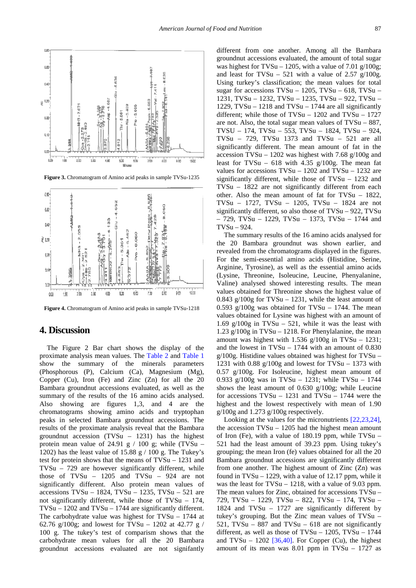

**Figure 3.** Chromatogram of Amino acid peaks in sample TVSu-1235



**Figure 4.** Chromatogram of Amino acid peaks in sample TVSu-1218

# **4. Discussion**

The Figure 2 Bar chart shows the display of the proximate analysis mean values. The [Table 2](#page-3-0) and [Table 1](#page-2-0) show the summary of the minerals parameters (Phosphorous (P), Calcium (Ca), Magnesium (Mg), Copper (Cu), Iron (Fe) and Zinc (Zn) for all the 20 Bambara groundnut accessions evaluated, as well as the summary of the results of the 16 amino acids analysed. Also showing are figures 1,3, and 4 are the chromatograms showing amino acids and tryptophan peaks in selected Bambara groundnut accessions. The results of the proximate analysis reveal that the Bambara groundnut accession  $(TVSu - 1231)$  has the highest protein mean value of 24.91 g  $/$  100 g; while (TVSu – 1202) has the least value of 15.88 g  $/$  100 g. The Tukey's test for protein shows that the means of TVSu – 1231 and TVSu – 729 are however significantly different, while those of TVSu – 1205 and TVSu – 924 are not significantly different. Also protein mean values of accessions TVSu – 1824, TVSu – 1235, TVSu – 521 are not significantly different, while those of TVSu – 174, TVSu – 1202 and TVSu – 1744 are significantly different. The carbohydrate value was highest for TVSu – 1744 at 62.76 g/100g; and lowest for TVSu – 1202 at 42.77 g / 100 g. The tukey's test of comparism shows that the carbohydrate mean values for all the 20 Bambara groundnut accessions evaluated are not signifantly

different from one another. Among all the Bambara groundnut accessions evaluated, the amount of total sugar was highest for TVSu – 1205, with a value of 7.01  $g/100g$ ; and least for TVSu – 521 with a value of 2.57  $g/100g$ . Using turkey's classification; the mean values for total sugar for accessions  $TVSu - 1205$ ,  $TVSu - 618$ ,  $TVSu -$ 1231, TVSu – 1232, TVSu – 1235, TVSu – 922, TVSu – 1229, TVSu  $-$  1218 and TVSu  $-$  1744 are all significantly different; while those of TVSu – 1202 and TVSu – 1727 are not. Also, the total sugar mean values of TVSu – 887, TVSU – 174, TVSu – 553, TVSu – 1824, TVSu – 924, TVSu – 729, TVSu 1373 and TVSu – 521 are all significantly different. The mean amount of fat in the accession TVSu – 1202 was highest with 7.68  $g/100g$  and least for TVSu – 618 with 4.35  $g/100g$ . The mean fat values for accessions TVSu – 1202 and TVSu – 1232 are significantly different, while those of TVSu – 1232 and TVSu – 1822 are not significantly different from each other. Also the mean amount of fat for TVSu – 1822, TVSu – 1727, TVSu – 1205, TVSu – 1824 are not significantly different, so also those of TVSu – 922, TVSu – 729, TVSu – 1229, TVSu – 1373, TVSu – 1744 and  $TVS_{11} = 924$ .

The summary results of the 16 amino acids analysed for the 20 Bambara groundnut was shown earlier, and revealed from the chromatograms displayed in the figures. For the semi-essential amino acids (Histidine, Serine, Arginine, Tyrosine), as well as the essential amino acids (Lysine, Threonine, Isoleucine, Leucine, Phenyalanine, Valine) analysed showed interesting results. The mean values obtained for Threonine shows the highest value of 0.843 g/100g for TVSu  $-$  1231, while the least amount of 0.593 g/100g was obtained for TVSu  $-$  1744. The mean values obtained for Lysine was highest with an amount of 1.69 g/100g in TVSu – 521, while it was the least with 1.23 g/100g in TVSu – 1218. For Phenylalanine, the mean amount was highest with  $1.536$  g/100g in TVSu - 1231; and the lowest in TVSu – 1744 with an amount of 0.830 g/100g. Histidine values obtained was highest for TVSu – 1231 with  $0.88 \frac{\mathrm{g}}{100 \mathrm{g}}$  and lowest for TVSu – 1373 with 0.57 g/100g. For Isoleucine, highest mean amount of 0.933 g/100g was in TVSu – 1231; while TVSu – 1744 shows the least amount of 0.630 g/100g; while Leucine for accessions  $TVSu - 1231$  and  $TVSu - 1744$  were the highest and the lowest respectively with mean of 1.90  $g/100g$  and 1.273  $g/100g$  respectively.

Looking at the values for the micronutrients [\[22,23,24\],](#page-6-5) the accession TVSu – 1205 had the highest mean amount of Iron (Fe), with a value of 180.19 ppm, while TVSu – 521 had the least amount of 39.23 ppm. Using tukey's grouping; the mean Iron (fe) values obtained for all the 20 Bambara groundnut accessions are significantly different from one another. The highest amount of Zinc (Zn) was found in TVSu – 1229, with a value of 12.17 ppm, while it was the least for TVSu – 1218, with a value of 9.03 ppm. The mean values for Zinc, obtained for accessions TVSu – 729, TVSu – 1229, TVSu – 822, TVSu – 174, TVSu – 1824 and TVSu – 1727 are significantly different by tukey's grouping. But the Zinc mean values of TVSu – 521, TVSu – 887 and TVSu – 618 are not significantly different, as well as those of  $TVSu - 1205$ ,  $TVSu - 1744$ and TVSu – 1202  $[36,40]$ . For Copper (Cu), the highest amount of its mean was 8.01 ppm in TVSu – 1727 as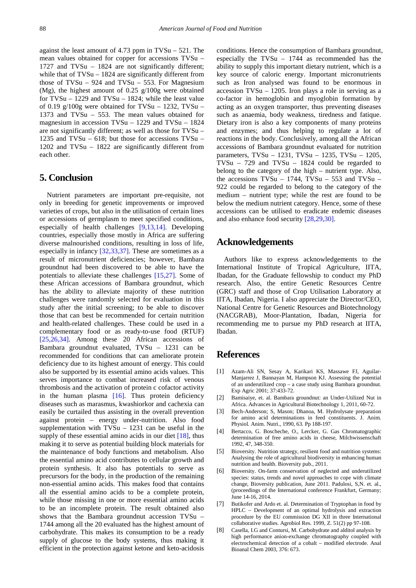against the least amount of 4.73 ppm in TVSu – 521. The mean values obtained for copper for accessions TVSu – 1727 and TVSu – 1824 are not significantly different; while that of TVSu – 1824 are significantly different from those of TVSu –  $924$  and TVSu – 553. For Magnesium (Mg), the highest amount of 0.25 g/100g were obtained for TVSu – 1229 and TVSu – 1824; while the least value of 0.19 g/100g were obtained for TVSu – 1232, TVSu – 1373 and TVSu – 553. The mean values obtained for magnesium in accession TVSu – 1229 and TVSu – 1824 are not significantly different; as well as those for TVSu – 1235 and TVSu – 618; but those for accessions TVSu – 1202 and TVSu – 1822 are significantly different from each other.

## **5. Conclusion**

Nutrient parameters are important pre-requisite, not only in breeding for genetic improvements or improved varieties of crops, but also in the utilisation of certain lines or accessions of germplasm to meet specified conditions, especially of health challenges [\[9,13,14\].](#page-6-7) Developing countries, especially those mostly in Africa are suffering diverse malnourished conditions, resulting in loss of life, especially in infancy [\[32,33,37\].](#page-6-8) These are sometimes as a result of micronutrient deficiencies; however, Bambara groundnut had been discovered to be able to have the potentials to alleviate these challenges [\[15,27\].](#page-6-2) Some of these African accessions of Bambara groundnut, which has the ability to alleviate majority of these nutrition challenges were randomly selected for evaluation in this study after the initial screening; to be able to discover those that can best be recommended for certain nutrition and health-related challenges. These could be used in a complementary food or as ready-to-use food (RTUF) [\[25,26,34\].](#page-6-9) Among these 20 African accessions of Bambara groundnut evaluated, TVSu – 1231 can be recommended for conditions that can ameliorate protein deficiency due to its highest amount of energy. This could also be supported by its essential amino acids values. This serves importance to combat increased risk of venous thrombosis and the activation of protein c cofactor activity in the human plasma [\[16\].](#page-6-10) Thus protein deficiency diseases such as marasmus, kwashiorkor and cachexia can easily be curtailed thus assisting in the overall prevention against protein – energy under-nutrition. Also food supplementation with TVSu – 1231 can be useful in the supply of these essential amino acids in our diet  $[18]$ , thus making it to serve as potential building block materials for the maintenance of body functions and metabolism. Also the essential amino acid contributes to cellular growth and protein synthesis. It also has potentials to serve as precursors for the body, in the production of the remaining non-essential amino acids. This makes food that contains all the essential amino acids to be a complete protein, while those missing in one or more essential amino acids to be an incomplete protein. The result obtained also shows that the Bambara groundnut accession TVSu – 1744 among all the 20 evaluated has the highest amount of carbohydrate. This makes its consumption to be a ready supply of glucose to the body systems, thus making it efficient in the protection against ketone and keto-acidosis conditions. Hence the consumption of Bambara groundnut, especially the TVSu – 1744 as recommended has the ability to supply this important dietary nutrient, which is a key source of caloric energy. Important micronutrients such as Iron analysed was found to be enormous in accession TVSu – 1205. Iron plays a role in serving as a co-factor in hemoglobin and myoglobin formation by acting as an oxygen transporter, thus preventing diseases such as anaemia, body weakness, tiredness and fatique. Dietary iron is also a key components of many proteins and enzymes; and thus helping to regulate a lot of reactions in the body. Conclusively, among all the African accessions of Bambara groundnut evaluated for nutrition parameters, TVSu – 1231, TVSu – 1235, TVSu – 1205, TVSu – 729 and TVSu – 1824 could be regarded to belong to the category of the high – nutrient type. Also, the accessions TVSu – 1744, TVSu – 553 and TVSu – 922 could be regarded to belong to the category of the medium – nutrient type; while the rest are found to be below the medium nutrient category. Hence, some of these accessions can be utilised to eradicate endemic diseases and also enhance food security [\[28,29,30\].](#page-6-12)

# **Acknowledgements**

Authors like to express acknowledgements to the International Institute of Tropical Agriculture, IITA, Ibadan, for the Graduate fellowship to conduct my PhD research. Also, the entire Genetic Resources Centre (GRC) staff and those of Crop Utilisation Laboratory at IITA, Ibadan, Nigeria. I also appreciate the Director/CEO, National Centre for Genetic Resources and Biotechnology (NACGRAB), Moor-Plantation, Ibadan, Nigeria for recommending me to pursue my PhD research at IITA, Ibadan.

# **References**

- <span id="page-5-0"></span>[1] Azam-Ali SN, Sesay A, Karikari KS, Massawe FJ, Aguilar-Manjarrez J, Bannayan M, Hampson KJ. Assessing the potential of an underutilized crop – a case study using Bambara groundnut. Exp Agric 2001; 37:433-72.
- <span id="page-5-1"></span>[2] Bamisaiye, et. al. Bambara groundnut: an Under-Utilized Nut in Africa. Advances in Agricultural Biotechnology 1, 2011, 60-72.
- <span id="page-5-3"></span>[3] Bech-Anderson; S, Mason; Dhanoa, M. Hydrolysate preparation for amino acid determinations in feed constituents. J. Anim. Physiol. Anim. Nutri., 1990, 63. Pp 188-197.
- <span id="page-5-4"></span>[4] Bertacco, G. Boscheche, O., Lercker, G. Gas Chromatographic determination of free amino acids in cheese, Milchwissenschaft 1992, 47, 348-350.
- <span id="page-5-2"></span>[5] Bioversity. Nutrition strategy, resilient food and nutrition systems: Analysing the role of agricultural biodiversity in enhancing human nutrition and health. Bioversity pub., 2011.
- [6] Bioversity. On-farm conservation of neglected and underutilized species: status, trends and novel approaches to cope with climate change, Bioversity publication, June 2011. Padulosi, S,N. et. al., (proceedings of the International conference Frankfurt, Germany; June 14-16, 2014.
- [7] Butikofer and Ardo et. al. Determination of Tryptophan in food by HPLC – Development of an optimal hydrolysis and extraction procedure by the EU commission DG XII in three International collaborative studies. Agrobiol Res. 1999, Z. 51(2) pp 97-108.
- [8] Casella, I.G and Contursi, M. Carbohydrate and alditol analysis by high performance anion-exchange chromatography coupled with electrochemical detection of a cobalt – modified electrode. Anal Bioanal Chem 2003, 376: 673.